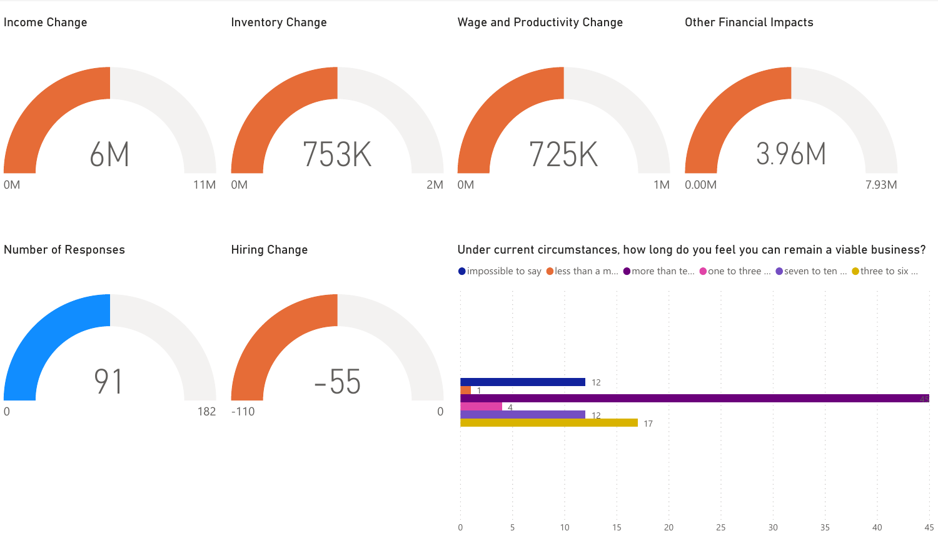